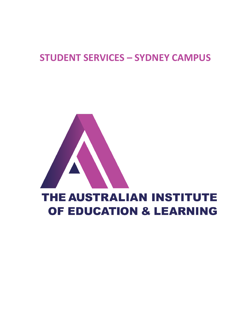### **STUDENT SERVICES – SYDNEY CAMPUS**

# THE AUSTRALIAN INSTITUTE OF EDUCATION & LEARNING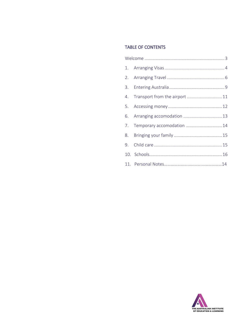### **TABLE OF CONTENTS**

|  | 4. Transport from the airport  11 |  |
|--|-----------------------------------|--|
|  |                                   |  |
|  | 6. Arranging accomodation  13     |  |
|  | 7. Temporary accomodation  14     |  |
|  |                                   |  |
|  |                                   |  |
|  |                                   |  |
|  |                                   |  |

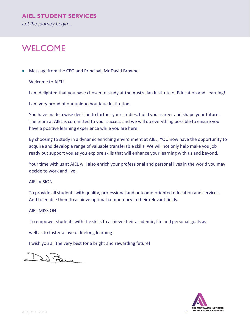### <span id="page-2-0"></span>**WELCOME**

• Message from the CEO and Principal, Mr David Browne

Welcome to AIEL!

I am delighted that you have chosen to study at the Australian Institute of Education and Learning!

I am very proud of our unique boutique Institution.

You have made a wise decision to further your studies, build your career and shape your future. The team at AIEL is committed to your success and we will do everything possible to ensure you have a positive learning experience while you are here.

By choosing to study in a dynamic enriching environment at AIEL, YOU now have the opportunity to acquire and develop a range of valuable transferable skills. We will not only help make you job ready but support you as you explore skills that will enhance your learning with us and beyond.

Your time with us at AIEL will also enrich your professional and personal lives in the world you may decide to work and live.

#### AIEL VISION

To provide all students with quality, professional and outcome-oriented education and services. And to enable them to achieve optimal competency in their relevant fields.

#### AIEL MISSION

To empower students with the skills to achieve their academic, life and personal goals as

well as to foster a love of lifelong learning!

I wish you all the very best for a bright and rewarding future!

Detail

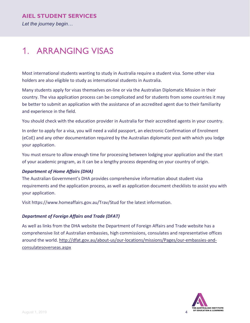### <span id="page-3-0"></span>1. ARRANGING VISAS

Most international students wanting to study in Australia require a student visa. Some other visa holders are also eligible to study as international students in Australia.

Many students apply for visas themselves on-line or via the Australian Diplomatic Mission in their country. The visa application process can be complicated and for students from some countries it may be better to submit an application with the assistance of an accredited agent due to their familiarity and experience in the field.

You should check with the education provider in Australia for their accredited agents in your country.

In order to apply for a visa, you will need a valid passport, an electronic Confirmation of Enrolment (eCoE) and any other documentation required by the Australian diplomatic post with which you lodge your application.

You must ensure to allow enough time for processing between lodging your application and the start of your academic program, as it can be a lengthy process depending on your country of origin.

### *Department of Home Affairs (DHA)*

The Australian Government's DHA provides comprehensive information about student visa requirements and the application process, as well as application document checklists to assist you with your application.

Visit https://www.homeaffairs.gov.au/Trav/Stud for the latest information.

### *Department of Foreign Affairs and Trade (DFAT)*

As well as links from the DHA website the Department of Foreign Affairs and Trade website has a comprehensive list of Australian embassies, high commissions, consulates and representative offices around the world. [http://dfat.gov.au/about-us/our-locations/missions/Pages/our-embassies-and](http://dfat.gov.au/about-us/our-locations/missions/Pages/our-embassies-and-consulatesoverseas.aspx)[consulatesoverseas.aspx](http://dfat.gov.au/about-us/our-locations/missions/Pages/our-embassies-and-consulatesoverseas.aspx)

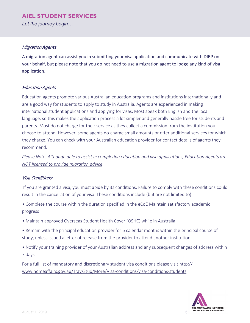*Let the journey begin…*

#### Migration *Agents*

A migration agent can assist you in submitting your visa application and communicate with DIBP on your behalf, but please note that you do not need to use a migration agent to lodge any kind of visa application.

#### Education Agents

Education agents promote various Australian education programs and institutions internationally and are a good way for students to apply to study in Australia. Agents are experienced in making international student applications and applying for visas. Most speak both English and the local language, so this makes the application process a lot simpler and generally hassle free for students and parents. Most do not charge for their service as they collect a commission from the institution you choose to attend. However, some agents do charge small amounts or offer additional services for which they charge. You can check with your Australian education provider for contact details of agents they recommend.

*Please Note: Although able to assist in completing education and visa applications, Education Agents are NOT licensed to provide migration advice*.

#### Visa Conditions:

If you are granted a visa, you must abide by its conditions. Failure to comply with these conditions could result in the cancellation of your visa. These conditions include (but are not limited to)

• Complete the course within the duration specified in the eCoE Maintain satisfactory academic progress

- Maintain approved Overseas Student Health Cover (OSHC) while in Australia
- Remain with the principal education provider for 6 calendar months within the principal course of study, unless issued a letter of release from the provider to attend another institution
- Notify your training provider of your Australian address and any subsequent changes of address within 7 days.

For a full list of mandatory and discretionary student visa conditions please visit http:// [www.homeaffairs.gov.au/Trav/Stud/More/Visa-conditions/visa-conditions-students](http://www.homeaffairs.gov.au/Trav/Stud/More/Visa-conditions/visa-conditions-students)

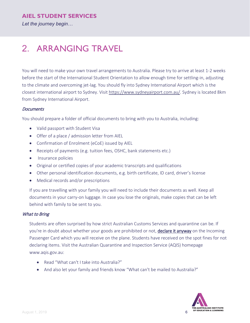*Let the journey begin…*

### <span id="page-5-0"></span>2. ARRANGING TRAVEL

You will need to make your own travel arrangements to Australia. Please try to arrive at least 1-2 weeks before the start of the International Student Orientation to allow enough time for settling-in, adjusting to the climate and overcoming jet-lag. You should fly into Sydney International Airport which is the closest international airport to Sydney. Visit [https://www.sydneyairport.com.au/.](https://www.sydneyairport.com.au/) Sydney is located 8km from Sydney International Airport.

#### **Documents**

You should prepare a folder of official documents to bring with you to Australia, including:

- Valid passport with Student Visa
- Offer of a place / admission letter from AIEL
- Confirmation of Enrolment (eCoE) issued by AIEL
- Receipts of payments (e.g. tuition fees, OSHC, bank statements etc.)
- Insurance policies
- Original or certified copies of your academic transcripts and qualifications
- Other personal identification documents, e.g. birth certificate, ID card, driver's license
- Medical records and/or prescriptions

If you are travelling with your family you will need to include their documents as well. Keep all documents in your carry-on luggage. In case you lose the originals, make copies that can be left behind with family to be sent to you.

### What to Bring

Students are often surprised by how strict Australian Customs Services and quarantine can be. If you're in doubt about whether your goods are prohibited or not, declare it anyway on the Incoming Passenger Card which you will receive on the plane. Students have received on the spot fines for not declaring items. Visit the Australian Quarantine and Inspection Service (AQIS) homepage www.aqis.gov.au:

- Read "What can't I take into Australia?"
- And also let your family and friends know "What can't be mailed to Australia?"

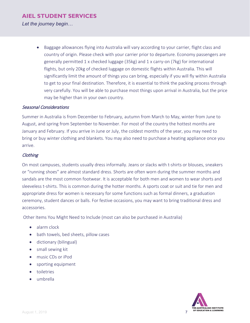*Let the journey begin…*

• Baggage allowances flying into Australia will vary according to your carrier, flight class and country of origin. Please check with your carrier prior to departure. Economy passengers are generally permitted 1 x checked luggage (35kg) and 1 x carry-on (7kg) for international flights, but only 20kg of checked luggage on domestic flights within Australia. This will significantly limit the amount of things you can bring, especially if you will fly within Australia to get to your final destination. Therefore, it is essential to think the packing process through very carefully. You will be able to purchase most things upon arrival in Australia, but the price may be higher than in your own country.

### Seasonal Considerations

Summer in Australia is from December to February, autumn from March to May, winter from June to August, and spring from September to November. For most of the country the hottest months are January and February. If you arrive in June or July, the coldest months of the year, you may need to bring or buy winter clothing and blankets. You may also need to purchase a heating appliance once you arrive.

### **Clothing**

On most campuses, students usually dress informally. Jeans or slacks with t-shirts or blouses, sneakers or "running shoes" are almost standard dress. Shorts are often worn during the summer months and sandals are the most common footwear. It is acceptable for both men and women to wear shorts and sleeveless t-shirts. This is common during the hotter months. A sports coat or suit and tie for men and appropriate dress for women is necessary for some functions such as formal dinners, a graduation ceremony, student dances or balls. For festive occasions, you may want to bring traditional dress and accessories.

Other Items You Might Need to Include (most can also be purchased in Australia)

- alarm clock
- bath towels, bed sheets, pillow cases
- dictionary (bilingual)
- small sewing kit
- music CDs or iPod
- sporting equipment
- toiletries
- umbrella

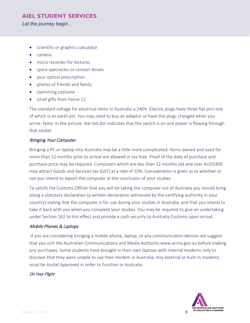*Let the journey begin…*

- scientific or graphics calculator
- camera
- micro recorder for lectures
- spare spectacles or contact lenses
- your optical prescription
- photos of friends and family
- swimming costume
- small gifts from home 12

The standard voltage for electrical items in Australia is 240V. Electric plugs have three flat pins one of which is an earth pin. You may need to buy an adaptor or have the plugs changed when you arrive. Note: In the picture, the red dot indicates that the switch is on and power is flowing through that socket.

### Bringing Your Computer

Bringing a PC or laptop into Australia may be a little more complicated. Items owned and used for more than 12 months prior to arrival are allowed in tax-free. Proof of the date of purchase and purchase price may be required. Computers which are less than 12 months old and over AUD\$400 may attract Goods and Services tax (GST) at a rate of 10%. Consideration is given as to whether or not you intend to export the computer at the conclusion of your studies.

To satisfy the Customs Officer that you will be taking the computer out of Australia you should bring along a statutory declaration (a written declaration witnessed by the certifying authority in your country) stating that the computer is for use during your studies in Australia, and that you intend to take it back with you when you complete your studies. You may be required to give an undertaking under Section 162 to this effect and provide a cash security to Australia Customs upon arrival.

### Mobile Phones & Laptops

If you are considering bringing a mobile phone, laptop, or any communication devices we suggest that you visit the Australian Communications and Media Authority www.acma.gov.au before making any purchases. Some students have brought in their own laptops with internal modems only to discover that they were unable to use their modem in Australia. Any external or built-in modems must be Austel Approved in order to function in Australia.

#### On Your Flight

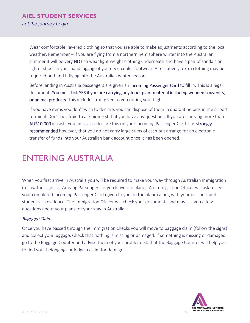*Let the journey begin…*

Wear comfortable, layered clothing so that you are able to make adjustments according to the local weather. Remember – if you are flying from a northern hemisphere winter into the Australian summer it will be very HOT so wear light weight clothing underneath and have a pair of sandals or lighter shoes in your hand luggage if you need cooler footwear. Alternatively, extra clothing may be required on-hand if flying into the Australian winter season.

Before landing in Australia passengers are given an Incoming Passenger Card to fill in. This is a legal document. You must tick YES if you are carrying any food, plant material including wooden souvenirs, or animal products. This includes fruit given to you during your flight.

If you have items you don't wish to declare, you can dispose of them in quarantine bins in the airport terminal. Don't be afraid to ask airline staff if you have any questions. If you are carrying more than AU\$10,000 in cash, you must also declare this on your Incoming Passenger Card. It is strongly recommended however, that you do not carry large sums of cash but arrange for an electronic transfer of funds into your Australian bank account once it has been opened.

### <span id="page-8-0"></span>ENTERING AUSTRALIA

When you first arrive in Australia you will be required to make your way through Australian Immigration (follow the signs for Arriving Passengers as you leave the plane). An Immigration Officer will ask to see your completed Incoming Passenger Card (given to you on the plane) along with your passport and student visa evidence. The Immigration Officer will check your documents and may ask you a few questions about your plans for your stay in Australia.

### Baggage Claim

Once you have passed through the immigration checks you will move to baggage claim (follow the signs) and collect your luggage. Check that nothing is missing or damaged. If something is missing or damaged go to the Baggage Counter and advise them of your problem. Staff at the Baggage Counter will help you to find your belongings or lodge a claim for damage.

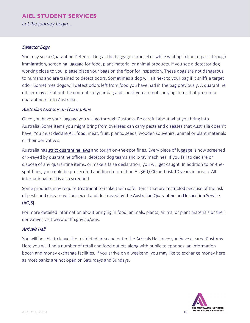*Let the journey begin…*

### Detector Dogs

You may see a Quarantine Detector Dog at the baggage carousel or while waiting in line to pass through immigration, screening luggage for food, plant material or animal products. If you see a detector dog working close to you, please place your bags on the floor for inspection. These dogs are not dangerous to humans and are trained to detect odors. Sometimes a dog will sit next to your bag if it sniffs a target odor. Sometimes dogs will detect odors left from food you have had in the bag previously. A quarantine officer may ask about the contents of your bag and check you are not carrying items that present a quarantine risk to Australia.

### Australian Customs and Quarantine

Once you have your luggage you will go through Customs. Be careful about what you bring into Australia. Some items you might bring from overseas can carry pests and diseases that Australia doesn't have. You must declare ALL food, meat, fruit, plants, seeds, wooden souvenirs, animal or plant materials or their derivatives.

Australia has strict quarantine laws and tough on-the-spot fines. Every piece of luggage is now screened or x-rayed by quarantine officers, detector dog teams and x-ray machines. If you fail to declare or dispose of any quarantine items, or make a false declaration, you will get caught. In addition to on-thespot fines, you could be prosecuted and fined more than AU\$60,000 and risk 10 years in prison. All international mail is also screened.

Some products may require treatment to make them safe. Items that are restricted because of the risk of pests and disease will be seized and destroyed by the Australian Quarantine and Inspection Service (AQIS).

For more detailed information about bringing in food, animals, plants, animal or plant materials or their derivatives visit www.daffa.gov.au/aqis.

### Arrivals Hall

You will be able to leave the restricted area and enter the Arrivals Hall once you have cleared Customs. Here you will find a number of retail and food outlets along with public telephones, an information booth and money exchange facilities. If you arrive on a weekend, you may like to exchange money here as most banks are not open on Saturdays and Sundays.

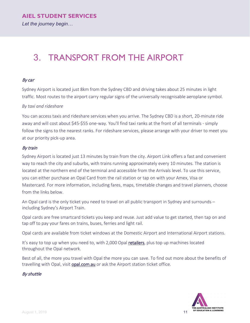### <span id="page-10-0"></span>3. TRANSPORT FROM THE AIRPORT

### By car

Sydney Airport is located just 8km from the Sydney CBD and driving takes about 25 minutes in light traffic. Most routes to the airport carry regular signs of the universally recognisable aeroplane symbol.

### *By taxi and rideshare*

You can access taxis and rideshare services when you arrive. The Sydney CBD is a short, 20-minute ride away and will cost about \$45-\$55 one-way. You'll find taxi ranks at the front of all terminals - simply follow the signs to the nearest ranks. For rideshare services, please arrange with your driver to meet you at our priority pick-up area.

### By train

Sydney Airport is located just 13 minutes by train from the city. Airport Link offers a fast and convenient way to reach the city and suburbs, with trains running approximately every 10 minutes. The station is located at the northern end of the terminal and accessible from the Arrivals level. To use this service, you can either purchase an Opal Card from the rail station or tap on with your Amex, Visa or Mastercard. For more information, including fares, maps, timetable changes and travel planners, choose from the links below.

An Opal card is the only ticket you need to travel on all public transport in Sydney and surrounds – including Sydney's Airport Train.

Opal cards are free smartcard tickets you keep and reuse. Just add value to get started, then tap on and tap off to pay your fares on trains, buses, ferries and light rail.

Opal cards are available from ticket windows at the Domestic Airport and International Airport stations.

It's easy to top up when you need to, with 2,000 Opal [retailers,](http://retailers.opal.com.au/) plus top up machines located throughout the Opal network.

Best of all, the more you travel with Opal the more you can save. To find out more about the benefits of travelling with Opal, visit [opal.com.au](https://www.opal.com.au/) or ask the Airport station ticket office.

### By shuttle

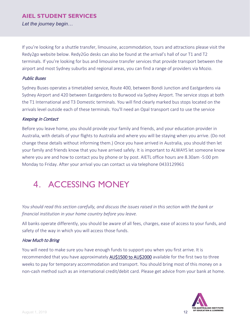*Let the journey begin…*

If you're looking for a shuttle transfer, limousine, accommodation, tours and attractions please visit the Redy2go website below. Redy2Go desks can also be found at the arrival's hall of our T1 and T2 terminals. If you're looking for bus and limousine transfer services that provide transport between the airport and most Sydney suburbs and regional areas, you can find a range of providers via Mozio.

### Public Buses

Sydney Buses operates a timetabled service, Route 400, between Bondi Junction and Eastgardens via Sydney Airport and 420 between Eastgardens to Burwood via Sydney Airport. The service stops at both the T1 International and T3 Domestic terminals. You will find clearly marked bus stops located on the arrivals level outside each of these terminals. You'll need an Opal transport card to use the service

### Keeping in Contact

Before you leave home, you should provide your family and friends, and your education provider in Australia, with details of your flights to Australia and where you will be staying when you arrive. (Do not change these details without informing them.) Once you have arrived in Australia, you should then let your family and friends know that you have arrived safely. It is important to ALWAYS let someone know where you are and how to contact you by phone or by post. AIETL office hours are 8.30am -5:00 pm Monday to Friday. After your arrival you can contact us via telephone 0433129961

### <span id="page-11-0"></span>4. ACCESSING MONEY

*You should read this section carefully, and discuss the issues raised in this section with the bank or financial institution in your home country before you leave.* 

All banks operate differently, you should be aware of all fees, charges, ease of access to your funds, and safety of the way in which you will access those funds.

### How Much to Bring

You will need to make sure you have enough funds to support you when you first arrive. It is recommended that you have approximately **AU\$1500 to AU\$2000** available for the first two to three weeks to pay for temporary accommodation and transport. You should bring most of this money on a non-cash method such as an international credit/debit card. Please get advice from your bank at home.

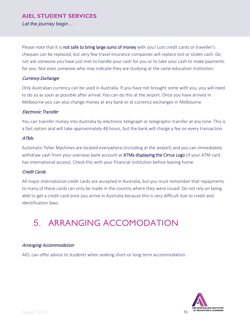*Let the journey begin…*

Please note that it is not safe to bring large sums of money with you! Lost credit cards or traveller's cheques can be replaced, but very few travel insurance companies will replace lost or stolen cash. Do not ask someone you have just met to handle your cash for you or to take your cash to make payments for you. Not even someone who may indicate they are studying at the same education institution.

### Currency Exchange

Only Australian currency can be used in Australia. If you have not brought some with you, you will need to do so as soon as possible after arrival. You can do this at the airport. Once you have arrived in Melbourne you can also change money at any bank or at currency exchanges in Melbourne.

### Electronic Transfer

You can transfer money into Australia by electronic telegraph or telegraphic transfer at any time. This is a fast option and will take approximately 48 hours, but the bank will charge a fee on every transaction.

### ATMs

Automatic Teller Machines are located everywhere (including at the airport) and you can immediately withdraw cash from your overseas bank account at ATMs displaying the Cirrus Logo (if your ATM card has international access). Check this with your financial institution before leaving home.

### Credit Cards

All major international credit cards are accepted in Australia, but you must remember that repayments to many of these cards can only be made in the country where they were issued. Do not rely on being able to get a credit card once you arrive in Australia because this is very difficult due to credit and identification laws.

## 5. ARRANGING ACCOMODATION

### Arranging Accommodation

AIEL can offer advice to students when seeking short-or long-term accommodation.

<span id="page-12-0"></span>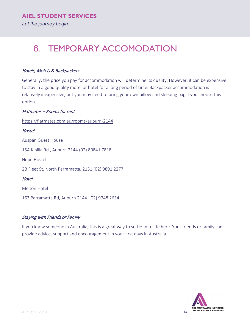*Let the journey begin…*

### <span id="page-13-0"></span>6. TEMPORARY ACCOMODATION

### Hotels, Motels & Backpackers

Generally, the price you pay for accommodation will determine its quality. However, it can be expensive to stay in a good quality motel or hotel for a long period of time. Backpacker accommodation is relatively inexpensive, but you may need to bring your own pillow and sleeping bag if you choose this option.

### Flatmates – Rooms for rent

<https://flatmates.com.au/rooms/auburn-2144>

**Hostel** Auspan Guest House 15A Kihilla Rd , Auburn 2144 (02) 80841 7818 Hope Hostel 2B Fleet St, North Parramatta, 2151 (02) 9891 2277 **Hotel** Melton Hotel 163 Parramatta Rd, Auburn 2144 (02) 9748 2634

### Staying with Friends or Family

If you know someone in Australia, this is a great way to settle-in to life here. Your friends or family can provide advice, support and encouragement in your first days in Australia.

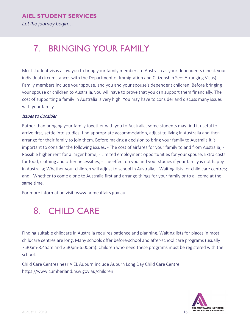### <span id="page-14-0"></span>7. BRINGING YOUR FAMILY

Most student visas allow you to bring your family members to Australia as your dependents (check your individual circumstances with the Department of Immigration and Citizenship See: Arranging Visas). Family members include your spouse, and you and your spouse's dependent children. Before bringing your spouse or children to Australia, you will have to prove that you can support them financially. The cost of supporting a family in Australia is very high. You may have to consider and discuss many issues with your family.

### Issues to Consider

Rather than bringing your family together with you to Australia, some students may find it useful to arrive first, settle into studies, find appropriate accommodation, adjust to living in Australia and then arrange for their family to join them. Before making a decision to bring your family to Australia it is important to consider the following issues: - The cost of airfares for your family to and from Australia; - Possible higher rent for a larger home; - Limited employment opportunities for your spouse; Extra costs for food, clothing and other necessities; - The effect on you and your studies if your family is not happy in Australia; Whether your children will adjust to school in Australia; - Waiting lists for child care centres; and - Whether to come alone to Australia first and arrange things for your family or to all come at the same time.

For more information visit: [www.homeaffairs.gov.au](http://www.homeaffairs.gov.au/)

### <span id="page-14-1"></span>8. CHILD CARE

Finding suitable childcare in Australia requires patience and planning. Waiting lists for places in most childcare centres are long. Many schools offer before-school and after-school care programs (usually 7:30am-8:45am and 3:30pm-6:00pm). Children who need these programs must be registered with the school.

Child Care Centres near AIEL Auburn include Auburn Long Day Child Care Centre <https://www.cumberland.nsw.gov.au/children>

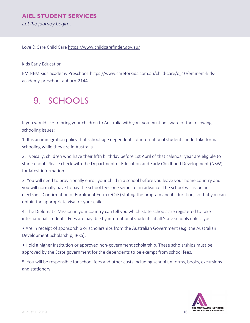*Let the journey begin…*

Love & Care Child Care<https://www.childcarefinder.gov.au/>

Kids Early Education

EMINEM Kids academy Preschool [https://www.careforkids.com.au/child-care/ojj10/eminem-kids](https://www.careforkids.com.au/child-care/ojj10/eminem-kids-academy-preschool-auburn-2144)[academy-preschool-auburn-2144](https://www.careforkids.com.au/child-care/ojj10/eminem-kids-academy-preschool-auburn-2144)

### <span id="page-15-0"></span>9. SCHOOLS

If you would like to bring your children to Australia with you, you must be aware of the following schooling issues:

1. It is an immigration policy that school-age dependents of international students undertake formal schooling while they are in Australia.

2. Typically, children who have their fifth birthday before 1st April of that calendar year are eligible to start school. Please check with the Department of Education and Early Childhood Development (NSW) for latest information.

3. You will need to provisionally enroll your child in a school before you leave your home country and you will normally have to pay the school fees one semester in advance. The school will issue an electronic Confirmation of Enrolment Form (eCoE) stating the program and its duration, so that you can obtain the appropriate visa for your child.

4. The Diplomatic Mission in your country can tell you which State schools are registered to take international students. Fees are payable by international students at all State schools unless you:

• Are in receipt of sponsorship or scholarships from the Australian Government (e.g. the Australian Development Scholarship, IPRS);

• Hold a higher institution or approved non-government scholarship. These scholarships must be approved by the State government for the dependents to be exempt from school fees.

5. You will be responsible for school fees and other costs including school uniforms, books, excursions and stationery.

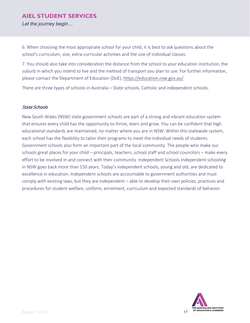*Let the journey begin…*

6. When choosing the most appropriate school for your child, it is best to ask questions about the school's curriculum, size, extra-curricular activities and the size of individual classes.

7. You should also take into consideration the distance from the school to your education institution, the suburb in which you intend to live and the method of transport you plan to use. For further information, please contact the Department of Education (DoE),<https://education.nsw.gov.au/>

There are three types of schools in Australia – State schools, Catholic and independent schools.

#### State Schools

New South Wales (NSW) state government schools are part of a strong and vibrant education system that ensures every child has the opportunity to thrive, learn and grow. You can be confident that high educational standards are maintained, no matter where you are in NSW. Within this statewide system, each school has the flexibility to tailor their programs to meet the individual needs of students. Government schools also form an important part of the local community. The people who make our schools great places for your child – principals, teachers, school staff and school councilors – make every effort to be involved in and connect with their community. Independent Schools Independent schooling in NSW goes back more than 150 years. Today's independent schools, young and old, are dedicated to excellence in education. Independent schools are accountable to government authorities and must comply with existing laws, but they are independent – able to develop their own policies, practices and procedures for student welfare, uniform, enrolment, curriculum and expected standards of behavior.